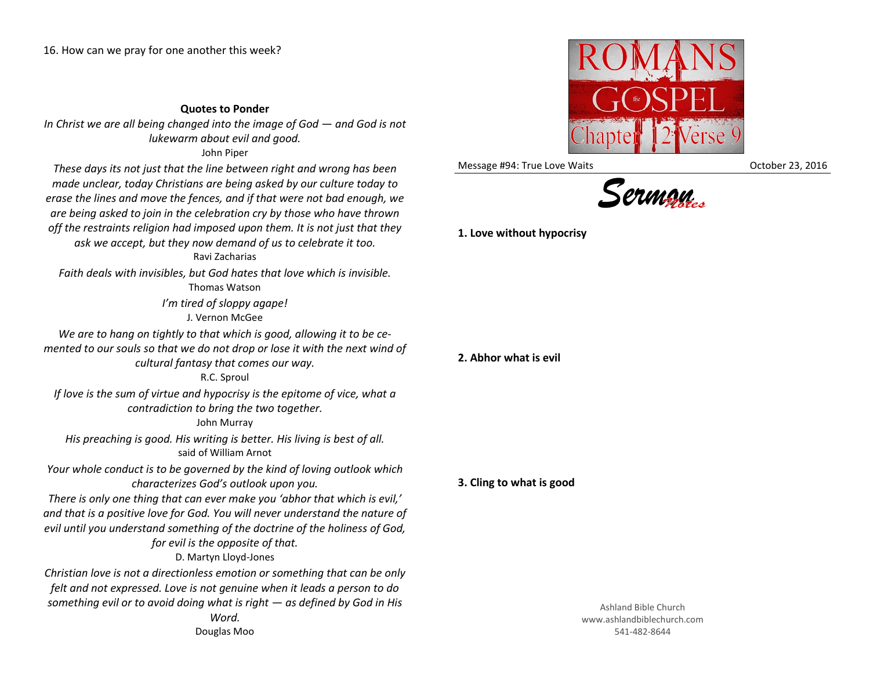## **Quotes to Ponder**

*In Christ we are all being changed into the image of God*  $-$  *and God is not lukewarm about evil and good.* John Piper

*These days its not just that the line between right and wrong has been made unclear, today Christians are being asked by our culture today to erase the lines and move the fences, and if that were not bad enough, we are being asked to join in the celebration cry by those who have thrown off the restraints religion had imposed upon them. It is not just that they ask we accept, but they now demand of us to celebrate it too.* Ravi Zacharias *Faith deals with invisibles, but God hates that love which is invisible.*

Thomas Watson

*I'm tired of sloppy agape!* J. Vernon McGee

*We are to hang on tightly to that which is good, allowing it to be cemented to our souls so that we do not drop or lose it with the next wind of cultural fantasy that comes our way.*

## R.C. Sproul

*If love is the sum of virtue and hypocrisy is the epitome of vice, what a contradiction to bring the two together.*

John Murray

*His preaching is good. His writing is better. His living is best of all.* said of William Arnot

*Your whole conduct is to be governed by the kind of loving outlook which characterizes God's outlook upon you.*

*There is only one thing that can ever make you 'abhor that which is evil,' and that is a positive love for God. You will never understand the nature of evil until you understand something of the doctrine of the holiness of God, for evil is the opposite of that.*

D. Martyn Lloyd-Jones

*Christian love is not a directionless emotion or something that can be only felt and not expressed. Love is not genuine when it leads a person to do something evil or to avoid doing what is right — as defined by God in His Word.* Douglas Moo



Message #94: True Love Waits **Communist Controller 194: True Waits** Controller 23, 2016



**1. Love without hypocrisy**

## **2. Abhor what is evil**

**3. Cling to what is good**

Ashland Bible Church www.ashlandbiblechurch.com 541-482-8644